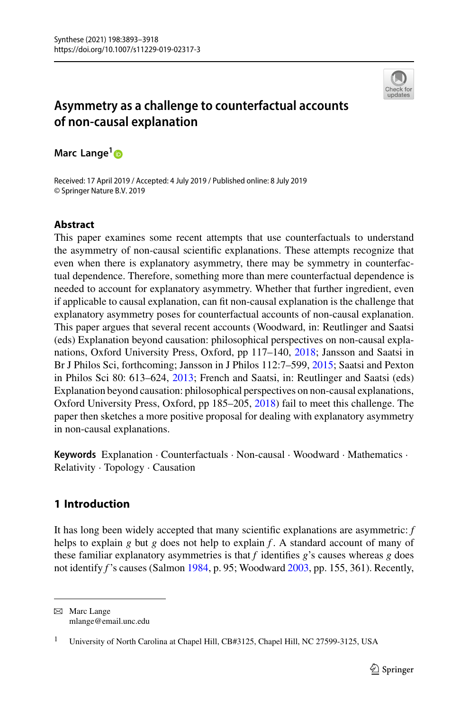

# **Asymmetry as a challenge to counterfactual accounts of non-causal explanation**

**Marc Lange[1](http://orcid.org/0000-0002-0704-7376)**

Received: 17 April 2019 / Accepted: 4 July 2019 / Published online: 8 July 2019 © Springer Nature B.V. 2019

# **Abstract**

This paper examines some recent attempts that use counterfactuals to understand the asymmetry of non-causal scientific explanations. These attempts recognize that even when there is explanatory asymmetry, there may be symmetry in counterfactual dependence. Therefore, something more than mere counterfactual dependence is needed to account for explanatory asymmetry. Whether that further ingredient, even if applicable to causal explanation, can fit non-causal explanation is the challenge that explanatory asymmetry poses for counterfactual accounts of non-causal explanation. This paper argues that several recent accounts (Woodward, in: Reutlinger and Saatsi (eds) Explanation beyond causation: philosophical perspectives on non-causal explanations, Oxford University Press, Oxford, pp 117–140, [2018;](#page-25-0) Jansson and Saatsi in Br J Philos Sci, forthcoming; Jansson in J Philos 112:7–599, [2015;](#page-24-0) Saatsi and Pexton in Philos Sci 80: 613–624, [2013;](#page-25-1) French and Saatsi, in: Reutlinger and Saatsi (eds) Explanation beyond causation: philosophical perspectives on non-causal explanations, Oxford University Press, Oxford, pp 185–205, [2018\)](#page-24-1) fail to meet this challenge. The paper then sketches a more positive proposal for dealing with explanatory asymmetry in non-causal explanations.

**Keywords** Explanation · Counterfactuals · Non-causal · Woodward · Mathematics · Relativity · Topology · Causation

# **1 Introduction**

It has long been widely accepted that many scientific explanations are asymmetric: *f* helps to explain *g* but *g* does not help to explain *f*. A standard account of many of these familiar explanatory asymmetries is that *f* identifies *g*'s causes whereas *g* does not identify *f* 's causes (Salmon [1984,](#page-25-2) p. 95; Woodward [2003,](#page-25-3) pp. 155, 361). Recently,

B Marc Lange mlange@email.unc.edu

<sup>&</sup>lt;sup>1</sup> University of North Carolina at Chapel Hill, CB#3125, Chapel Hill, NC 27599-3125, USA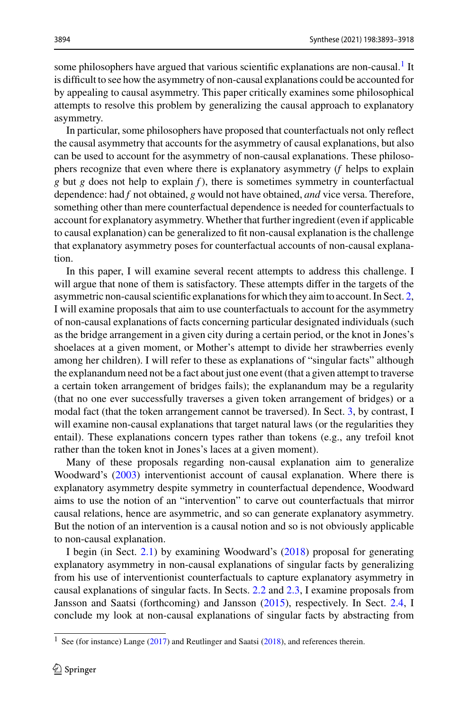some philosophers have argued that various scientific explanations are non-causal.<sup>[1](#page-1-0)</sup> It is difficult to see how the asymmetry of non-causal explanations could be accounted for by appealing to causal asymmetry. This paper critically examines some philosophical attempts to resolve this problem by generalizing the causal approach to explanatory asymmetry.

In particular, some philosophers have proposed that counterfactuals not only reflect the causal asymmetry that accounts for the asymmetry of causal explanations, but also can be used to account for the asymmetry of non-causal explanations. These philosophers recognize that even where there is explanatory asymmetry (*f* helps to explain *g* but *g* does not help to explain *f* ), there is sometimes symmetry in counterfactual dependence: had *f* not obtained, *g* would not have obtained, *and* vice versa. Therefore, something other than mere counterfactual dependence is needed for counterfactuals to account for explanatory asymmetry. Whether that further ingredient (even if applicable to causal explanation) can be generalized to fit non-causal explanation is the challenge that explanatory asymmetry poses for counterfactual accounts of non-causal explanation.

In this paper, I will examine several recent attempts to address this challenge. I will argue that none of them is satisfactory. These attempts differ in the targets of the asymmetric non-causal scientific explanations for which they aim to account. In Sect. [2,](#page-2-0) I will examine proposals that aim to use counterfactuals to account for the asymmetry of non-causal explanations of facts concerning particular designated individuals (such as the bridge arrangement in a given city during a certain period, or the knot in Jones's shoelaces at a given moment, or Mother's attempt to divide her strawberries evenly among her children). I will refer to these as explanations of "singular facts" although the explanandum need not be a fact about just one event (that a given attempt to traverse a certain token arrangement of bridges fails); the explanandum may be a regularity (that no one ever successfully traverses a given token arrangement of bridges) or a modal fact (that the token arrangement cannot be traversed). In Sect. [3,](#page-15-0) by contrast, I will examine non-causal explanations that target natural laws (or the regularities they entail). These explanations concern types rather than tokens (e.g., any trefoil knot rather than the token knot in Jones's laces at a given moment).

Many of these proposals regarding non-causal explanation aim to generalize Woodward's [\(2003\)](#page-25-3) interventionist account of causal explanation. Where there is explanatory asymmetry despite symmetry in counterfactual dependence, Woodward aims to use the notion of an "intervention" to carve out counterfactuals that mirror causal relations, hence are asymmetric, and so can generate explanatory asymmetry. But the notion of an intervention is a causal notion and so is not obviously applicable to non-causal explanation.

I begin (in Sect. [2.1\)](#page-2-1) by examining Woodward's [\(2018\)](#page-25-0) proposal for generating explanatory asymmetry in non-causal explanations of singular facts by generalizing from his use of interventionist counterfactuals to capture explanatory asymmetry in causal explanations of singular facts. In Sects. [2.2](#page-8-0) and [2.3,](#page-10-0) I examine proposals from Jansson and Saatsi (forthcoming) and Jansson [\(2015\)](#page-24-2), respectively. In Sect. [2.4,](#page-14-0) I conclude my look at non-causal explanations of singular facts by abstracting from

<span id="page-1-0"></span><sup>&</sup>lt;sup>1</sup> See (for instance) Lange ( $2017$ ) and Reutlinger and Saatsi ( $2018$ ), and references therein.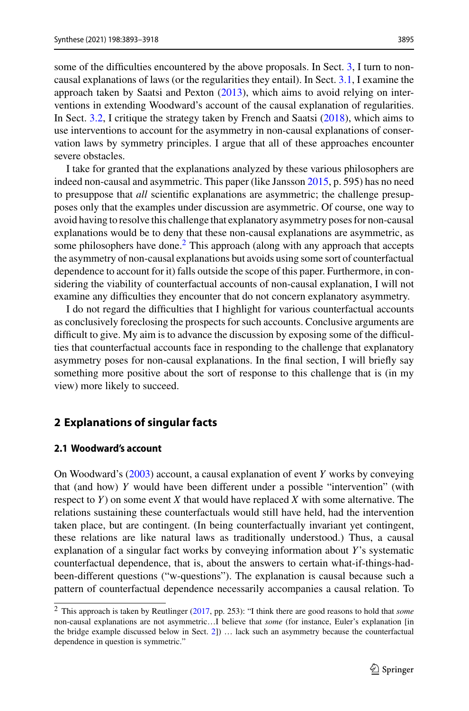some of the difficulties encountered by the above proposals. In Sect. [3,](#page-15-0) I turn to noncausal explanations of laws (or the regularities they entail). In Sect. [3.1,](#page-15-1) I examine the approach taken by Saatsi and Pexton [\(2013\)](#page-25-4), which aims to avoid relying on interventions in extending Woodward's account of the causal explanation of regularities. In Sect. [3.2,](#page-18-0) I critique the strategy taken by French and Saatsi [\(2018\)](#page-24-4), which aims to use interventions to account for the asymmetry in non-causal explanations of conservation laws by symmetry principles. I argue that all of these approaches encounter severe obstacles.

I take for granted that the explanations analyzed by these various philosophers are indeed non-causal and asymmetric. This paper (like Jansson [2015,](#page-24-2) p. 595) has no need to presuppose that *all* scientific explanations are asymmetric; the challenge presupposes only that the examples under discussion are asymmetric. Of course, one way to avoid having to resolve this challenge that explanatory asymmetry poses for non-causal explanations would be to deny that these non-causal explanations are asymmetric, as some philosophers have done.<sup>2</sup> This approach (along with any approach that accepts the asymmetry of non-causal explanations but avoids using some sort of counterfactual dependence to account for it) falls outside the scope of this paper. Furthermore, in considering the viability of counterfactual accounts of non-causal explanation, I will not examine any difficulties they encounter that do not concern explanatory asymmetry.

I do not regard the difficulties that I highlight for various counterfactual accounts as conclusively foreclosing the prospects for such accounts. Conclusive arguments are difficult to give. My aim is to advance the discussion by exposing some of the difficulties that counterfactual accounts face in responding to the challenge that explanatory asymmetry poses for non-causal explanations. In the final section, I will briefly say something more positive about the sort of response to this challenge that is (in my view) more likely to succeed.

# <span id="page-2-0"></span>**2 Explanations of singular facts**

# <span id="page-2-1"></span>**2.1 Woodward's account**

On Woodward's [\(2003\)](#page-25-3) account, a causal explanation of event *Y* works by conveying that (and how) *Y* would have been different under a possible "intervention" (with respect to *Y*) on some event *X* that would have replaced *X* with some alternative. The relations sustaining these counterfactuals would still have held, had the intervention taken place, but are contingent. (In being counterfactually invariant yet contingent, these relations are like natural laws as traditionally understood.) Thus, a causal explanation of a singular fact works by conveying information about *Y*'s systematic counterfactual dependence, that is, about the answers to certain what-if-things-hadbeen-different questions ("w-questions"). The explanation is causal because such a pattern of counterfactual dependence necessarily accompanies a causal relation. To

<span id="page-2-2"></span><sup>2</sup> This approach is taken by Reutlinger [\(2017,](#page-25-5) pp. 253): "I think there are good reasons to hold that *some* non-causal explanations are not asymmetric…I believe that *some* (for instance, Euler's explanation [in the bridge example discussed below in Sect. [2\]](#page-2-0)) … lack such an asymmetry because the counterfactual dependence in question is symmetric."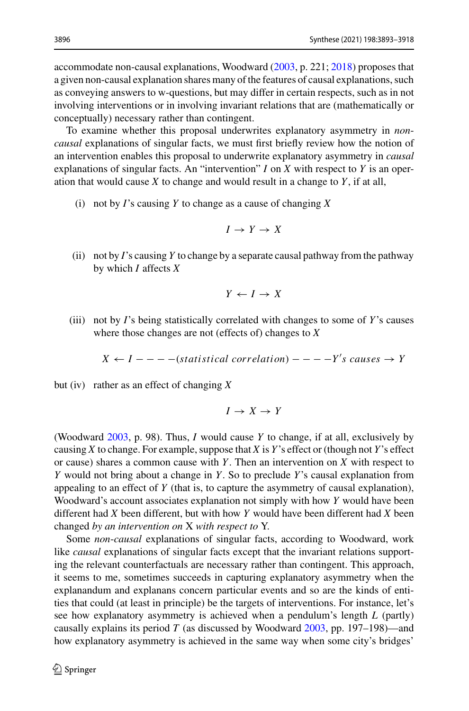accommodate non-causal explanations, Woodward [\(2003,](#page-25-3) p. 221; [2018\)](#page-25-0) proposes that a given non-causal explanation shares many of the features of causal explanations, such as conveying answers to w-questions, but may differ in certain respects, such as in not involving interventions or in involving invariant relations that are (mathematically or conceptually) necessary rather than contingent.

To examine whether this proposal underwrites explanatory asymmetry in *noncausal* explanations of singular facts, we must first briefly review how the notion of an intervention enables this proposal to underwrite explanatory asymmetry in *causal* explanations of singular facts. An "intervention" *I* on *X* with respect to *Y* is an operation that would cause *X* to change and would result in a change to *Y*, if at all,

(i) not by *I*'s causing *Y* to change as a cause of changing *X*

$$
I \to Y \to X
$$

(ii) not by *I*'s causing *Y* to change by a separate causal pathway from the pathway by which *I* affects *X*

$$
Y \leftarrow I \rightarrow X
$$

(iii) not by *I*'s being statistically correlated with changes to some of *Y*'s causes where those changes are not (effects of) changes to *X*

$$
X \leftarrow I --- (statistical correlation) --- Y's causes \rightarrow Y
$$

but (iv) rather as an effect of changing *X*

 $I \rightarrow X \rightarrow Y$ 

(Woodward [2003,](#page-25-3) p. 98). Thus, *I* would cause *Y* to change, if at all, exclusively by causing *X* to change. For example, suppose that *X* is *Y*'s effect or (though not *Y*'s effect or cause) shares a common cause with *Y*. Then an intervention on *X* with respect to *Y* would not bring about a change in *Y*. So to preclude *Y*'s causal explanation from appealing to an effect of *Y* (that is, to capture the asymmetry of causal explanation), Woodward's account associates explanation not simply with how *Y* would have been different had *X* been different, but with how *Y* would have been different had *X* been changed *by an intervention on* X *with respect to* Y.

Some *non*-*causal* explanations of singular facts, according to Woodward, work like *causal* explanations of singular facts except that the invariant relations supporting the relevant counterfactuals are necessary rather than contingent. This approach, it seems to me, sometimes succeeds in capturing explanatory asymmetry when the explanandum and explanans concern particular events and so are the kinds of entities that could (at least in principle) be the targets of interventions. For instance, let's see how explanatory asymmetry is achieved when a pendulum's length *L* (partly) causally explains its period *T* (as discussed by Woodward [2003,](#page-25-3) pp. 197–198)—and how explanatory asymmetry is achieved in the same way when some city's bridges'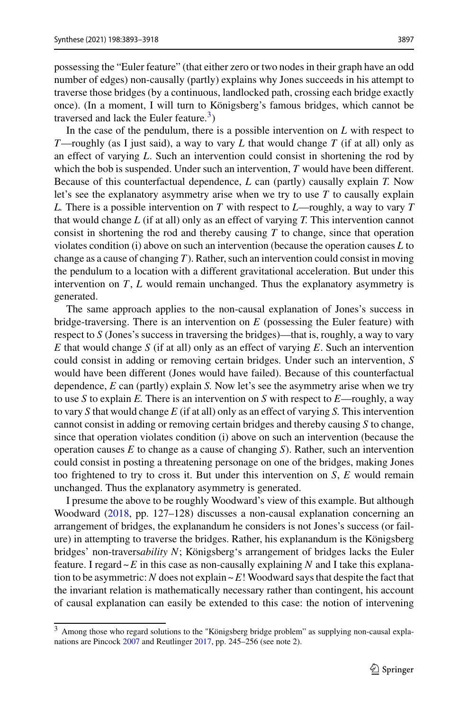possessing the "Euler feature" (that either zero or two nodes in their graph have an odd number of edges) non-causally (partly) explains why Jones succeeds in his attempt to traverse those bridges (by a continuous, landlocked path, crossing each bridge exactly once). (In a moment, I will turn to Königsberg's famous bridges, which cannot be traversed and lack the Euler feature.<sup>3</sup>)

In the case of the pendulum, there is a possible intervention on *L* with respect to *T*—roughly (as I just said), a way to vary *L* that would change *T* (if at all) only as an effect of varying *L*. Such an intervention could consist in shortening the rod by which the bob is suspended. Under such an intervention, *T* would have been different. Because of this counterfactual dependence, *L* can (partly) causally explain *T.* Now let's see the explanatory asymmetry arise when we try to use *T* to causally explain *L.* There is a possible intervention on *T* with respect to *L*—roughly, a way to vary *T* that would change *L* (if at all) only as an effect of varying *T.* This intervention cannot consist in shortening the rod and thereby causing *T* to change, since that operation violates condition (i) above on such an intervention (because the operation causes *L* to change as a cause of changing *T*). Rather, such an intervention could consist in moving the pendulum to a location with a different gravitational acceleration. But under this intervention on *T*, *L* would remain unchanged. Thus the explanatory asymmetry is generated.

The same approach applies to the non-causal explanation of Jones's success in bridge-traversing. There is an intervention on *E* (possessing the Euler feature) with respect to *S* (Jones's success in traversing the bridges)—that is, roughly, a way to vary *E* that would change *S* (if at all) only as an effect of varying *E*. Such an intervention could consist in adding or removing certain bridges. Under such an intervention, *S* would have been different (Jones would have failed). Because of this counterfactual dependence, *E* can (partly) explain *S.* Now let's see the asymmetry arise when we try to use *S* to explain *E.* There is an intervention on *S* with respect to *E*—roughly, a way to vary *S* that would change *E* (if at all) only as an effect of varying *S.* This intervention cannot consist in adding or removing certain bridges and thereby causing *S* to change, since that operation violates condition (i) above on such an intervention (because the operation causes *E* to change as a cause of changing *S*). Rather, such an intervention could consist in posting a threatening personage on one of the bridges, making Jones too frightened to try to cross it. But under this intervention on  $S$ ,  $E$  would remain unchanged. Thus the explanatory asymmetry is generated.

I presume the above to be roughly Woodward's view of this example. But although Woodward [\(2018,](#page-25-0) pp. 127–128) discusses a non-causal explanation concerning an arrangement of bridges, the explanandum he considers is not Jones's success (or failure) in attempting to traverse the bridges. Rather, his explanandum is the Königsberg bridges' non-travers*ability N*; Königsberg's arrangement of bridges lacks the Euler feature. I regard  $\sim$  *E* in this case as non-causally explaining *N* and I take this explanation to be asymmetric: *N* does not explain  $\nu E!$  Woodward says that despite the fact that the invariant relation is mathematically necessary rather than contingent, his account of causal explanation can easily be extended to this case: the notion of intervening

<span id="page-4-0"></span><sup>3</sup> Among those who regard solutions to the "Königsberg bridge problem" as supplying non-causal explanations are Pincock [2007](#page-25-6) and Reutlinger [2017,](#page-25-5) pp. 245–256 (see note 2).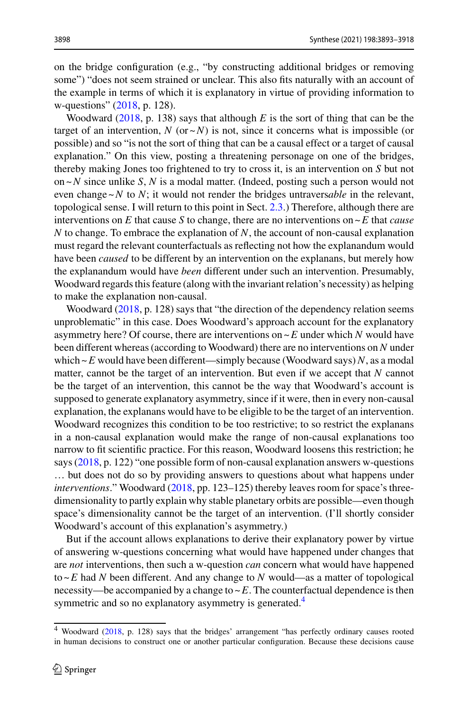on the bridge configuration (e.g., "by constructing additional bridges or removing some") "does not seem strained or unclear. This also fits naturally with an account of the example in terms of which it is explanatory in virtue of providing information to w-questions" [\(2018,](#page-25-0) p. 128).

Woodward [\(2018,](#page-25-0) p. 138) says that although *E* is the sort of thing that can be the target of an intervention,  $N$  (or  $\sim N$ ) is not, since it concerns what is impossible (or possible) and so "is not the sort of thing that can be a causal effect or a target of causal explanation." On this view, posting a threatening personage on one of the bridges, thereby making Jones too frightened to try to cross it, is an intervention on *S* but not on ~*N* since unlike *S*, *N* is a modal matter. (Indeed, posting such a person would not even change  $\sim$ *N* to *N*; it would not render the bridges untraversable in the relevant, topological sense. I will return to this point in Sect. [2.3.](#page-10-0)) Therefore, although there are interventions on *E* that cause *S* to change, there are no interventions on  $\sim$  *E* that *cause N* to change. To embrace the explanation of *N*, the account of non-causal explanation must regard the relevant counterfactuals as reflecting not how the explanandum would have been *caused* to be different by an intervention on the explanans, but merely how the explanandum would have *been* different under such an intervention. Presumably, Woodward regards this feature (along with the invariant relation's necessity) as helping to make the explanation non-causal.

Woodward [\(2018,](#page-25-0) p. 128) says that "the direction of the dependency relation seems unproblematic" in this case. Does Woodward's approach account for the explanatory asymmetry here? Of course, there are interventions on  $\sim$  E under which *N* would have been different whereas (according to Woodward) there are no interventions on *N* under which  $\sim$  *E* would have been different—simply because (Woodward says) *N*, as a modal matter, cannot be the target of an intervention. But even if we accept that *N* cannot be the target of an intervention, this cannot be the way that Woodward's account is supposed to generate explanatory asymmetry, since if it were, then in every non-causal explanation, the explanans would have to be eligible to be the target of an intervention. Woodward recognizes this condition to be too restrictive; to so restrict the explanans in a non-causal explanation would make the range of non-causal explanations too narrow to fit scientific practice. For this reason, Woodward loosens this restriction; he says [\(2018,](#page-25-0) p. 122) "one possible form of non-causal explanation answers w-questions … but does not do so by providing answers to questions about what happens under *interventions*." Woodward [\(2018,](#page-25-0) pp. 123–125) thereby leaves room for space's threedimensionality to partly explain why stable planetary orbits are possible—even though space's dimensionality cannot be the target of an intervention. (I'll shortly consider Woodward's account of this explanation's asymmetry.)

But if the account allows explanations to derive their explanatory power by virtue of answering w-questions concerning what would have happened under changes that are *not* interventions, then such a w-question *can* concern what would have happened to ~*E* had *N* been different. And any change to *N* would—as a matter of topological necessity—be accompanied by a change to  $\sim$   $E$ . The counterfactual dependence is then symmetric and so no explanatory asymmetry is generated.<sup>4</sup>

<span id="page-5-0"></span><sup>4</sup> Woodward [\(2018,](#page-25-0) p. 128) says that the bridges' arrangement "has perfectly ordinary causes rooted in human decisions to construct one or another particular configuration. Because these decisions cause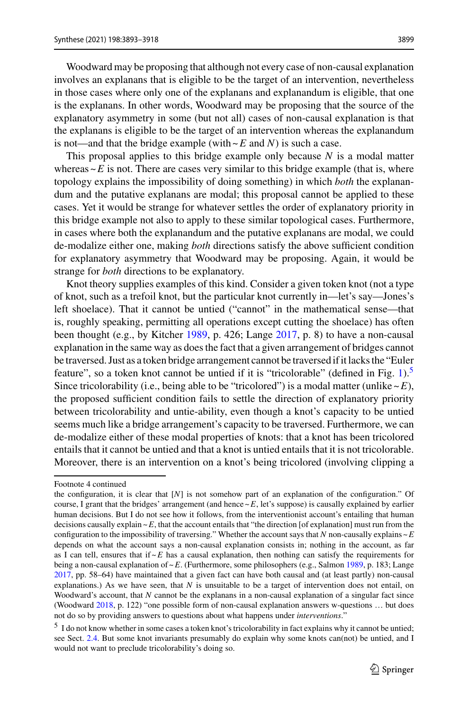Woodward may be proposing that although not every case of non-causal explanation involves an explanans that is eligible to be the target of an intervention, nevertheless in those cases where only one of the explanans and explanandum is eligible, that one is the explanans. In other words, Woodward may be proposing that the source of the explanatory asymmetry in some (but not all) cases of non-causal explanation is that the explanans is eligible to be the target of an intervention whereas the explanandum is not—and that the bridge example (with  $\sim$  *E* and *N*) is such a case.

This proposal applies to this bridge example only because *N* is a modal matter whereas  $\sim$  *E* is not. There are cases very similar to this bridge example (that is, where topology explains the impossibility of doing something) in which *both* the explanandum and the putative explanans are modal; this proposal cannot be applied to these cases. Yet it would be strange for whatever settles the order of explanatory priority in this bridge example not also to apply to these similar topological cases. Furthermore, in cases where both the explanandum and the putative explanans are modal, we could de-modalize either one, making *both* directions satisfy the above sufficient condition for explanatory asymmetry that Woodward may be proposing. Again, it would be strange for *both* directions to be explanatory.

Knot theory supplies examples of this kind. Consider a given token knot (not a type of knot, such as a trefoil knot, but the particular knot currently in—let's say—Jones's left shoelace). That it cannot be untied ("cannot" in the mathematical sense—that is, roughly speaking, permitting all operations except cutting the shoelace) has often been thought (e.g., by Kitcher [1989,](#page-24-5) p. 426; Lange [2017,](#page-24-3) p. 8) to have a non-causal explanation in the same way as does the fact that a given arrangement of bridges cannot be traversed. Just as a token bridge arrangement cannot be traversed if it lacks the "Euler feature", so a token knot cannot be untied if it is "tricolorable" (defined in Fig.  $1$ ).<sup>[5](#page-6-0)</sup> Since tricolorability (i.e., being able to be "tricolored") is a modal matter (unlike  $\sim E$ ), the proposed sufficient condition fails to settle the direction of explanatory priority between tricolorability and untie-ability, even though a knot's capacity to be untied seems much like a bridge arrangement's capacity to be traversed. Furthermore, we can de-modalize either of these modal properties of knots: that a knot has been tricolored entails that it cannot be untied and that a knot is untied entails that it is not tricolorable. Moreover, there is an intervention on a knot's being tricolored (involving clipping a

Footnote 4 continued

the configuration, it is clear that [*N*] is not somehow part of an explanation of the configuration." Of course, I grant that the bridges' arrangement (and hence  $\sim$   $E$ , let's suppose) is causally explained by earlier human decisions. But I do not see how it follows, from the interventionist account's entailing that human decisions causally explain  $\sim$  *E*, that the account entails that "the direction [of explanation] must run from the configuration to the impossibility of traversing." Whether the account says that *N* non-causally explains  $\sim$  *E* depends on what the account says a non-causal explanation consists in; nothing in the account, as far as I can tell, ensures that if  $\sim$ *E* has a causal explanation, then nothing can satisfy the requirements for being a non-causal explanation of ~*E*. (Furthermore, some philosophers (e.g., Salmon [1989,](#page-25-7) p. 183; Lange [2017,](#page-24-3) pp. 58–64) have maintained that a given fact can have both causal and (at least partly) non-causal explanations.) As we have seen, that *N* is unsuitable to be a target of intervention does not entail, on Woodward's account, that *N* cannot be the explanans in a non-causal explanation of a singular fact since (Woodward [2018,](#page-25-0) p. 122) "one possible form of non-causal explanation answers w-questions … but does not do so by providing answers to questions about what happens under *interventions*."

<span id="page-6-0"></span><sup>&</sup>lt;sup>5</sup> I do not know whether in some cases a token knot's tricolorability in fact explains why it cannot be untied; see Sect. [2.4.](#page-14-0) But some knot invariants presumably do explain why some knots can(not) be untied, and I would not want to preclude tricolorability's doing so.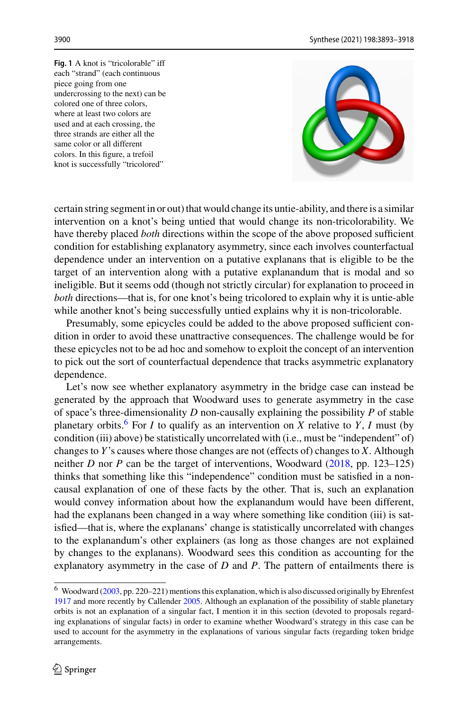<span id="page-7-0"></span>**Fig. 1** A knot is "tricolorable" iff each "strand" (each continuous piece going from one undercrossing to the next) can be colored one of three colors, where at least two colors are used and at each crossing, the three strands are either all the same color or all different colors. In this figure, a trefoil knot is successfully "tricolored"



certain string segment in or out) that would change its untie-ability, and there is a similar intervention on a knot's being untied that would change its non-tricolorability. We have thereby placed *both* directions within the scope of the above proposed sufficient condition for establishing explanatory asymmetry, since each involves counterfactual dependence under an intervention on a putative explanans that is eligible to be the target of an intervention along with a putative explanandum that is modal and so ineligible. But it seems odd (though not strictly circular) for explanation to proceed in *both* directions—that is, for one knot's being tricolored to explain why it is untie-able while another knot's being successfully untied explains why it is non-tricolorable.

Presumably, some epicycles could be added to the above proposed sufficient condition in order to avoid these unattractive consequences. The challenge would be for these epicycles not to be ad hoc and somehow to exploit the concept of an intervention to pick out the sort of counterfactual dependence that tracks asymmetric explanatory dependence.

Let's now see whether explanatory asymmetry in the bridge case can instead be generated by the approach that Woodward uses to generate asymmetry in the case of space's three-dimensionality *D* non-causally explaining the possibility *P* of stable planetary orbits.<sup>6</sup> For *I* to qualify as an intervention on *X* relative to *Y*, *I* must (by condition (iii) above) be statistically uncorrelated with (i.e., must be "independent" of) changes to *Y*'s causes where those changes are not (effects of) changes to *X*. Although neither *D* nor *P* can be the target of interventions, Woodward [\(2018,](#page-25-0) pp. 123–125) thinks that something like this "independence" condition must be satisfied in a noncausal explanation of one of these facts by the other. That is, such an explanation would convey information about how the explanandum would have been different, had the explanans been changed in a way where something like condition (iii) is satisfied—that is, where the explanans' change is statistically uncorrelated with changes to the explanandum's other explainers (as long as those changes are not explained by changes to the explanans). Woodward sees this condition as accounting for the explanatory asymmetry in the case of *D* and *P*. The pattern of entailments there is

<span id="page-7-1"></span><sup>&</sup>lt;sup>6</sup> Woodward [\(2003,](#page-25-3) pp. 220–221) mentions this explanation, which is also discussed originally by Ehrenfest [1917](#page-24-6) and more recently by Callender [2005.](#page-24-7) Although an explanation of the possibility of stable planetary orbits is not an explanation of a singular fact, I mention it in this section (devoted to proposals regarding explanations of singular facts) in order to examine whether Woodward's strategy in this case can be used to account for the asymmetry in the explanations of various singular facts (regarding token bridge arrangements.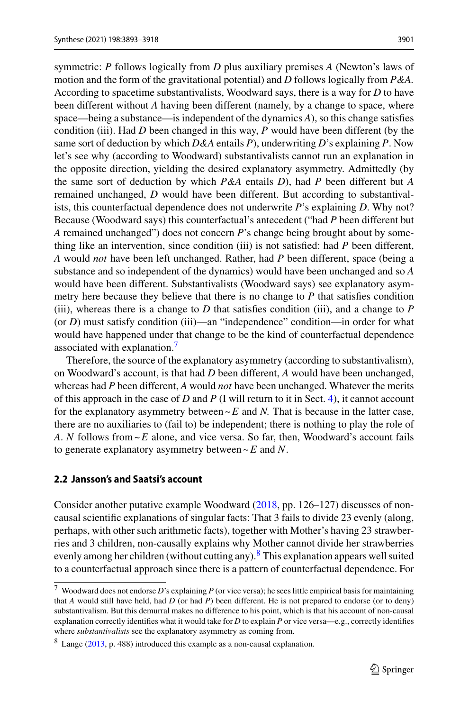symmetric: *P* follows logically from *D* plus auxiliary premises *A* (Newton's laws of motion and the form of the gravitational potential) and *D* follows logically from *P&A.* According to spacetime substantivalists, Woodward says, there is a way for *D* to have been different without *A* having been different (namely, by a change to space, where space—being a substance—is independent of the dynamics *A*), so this change satisfies condition (iii). Had *D* been changed in this way, *P* would have been different (by the same sort of deduction by which *D&A* entails *P*), underwriting *D*'s explaining *P*. Now let's see why (according to Woodward) substantivalists cannot run an explanation in the opposite direction, yielding the desired explanatory asymmetry. Admittedly (by the same sort of deduction by which *P&A* entails *D*), had *P* been different but *A* remained unchanged, *D* would have been different. But according to substantivalists, this counterfactual dependence does not underwrite *P*'s explaining *D*. Why not? Because (Woodward says) this counterfactual's antecedent ("had *P* been different but *A* remained unchanged") does not concern *P*'s change being brought about by something like an intervention, since condition (iii) is not satisfied: had *P* been different, *A* would *not* have been left unchanged. Rather, had *P* been different, space (being a substance and so independent of the dynamics) would have been unchanged and so *A* would have been different. Substantivalists (Woodward says) see explanatory asymmetry here because they believe that there is no change to *P* that satisfies condition (iii), whereas there is a change to  $D$  that satisfies condition (iii), and a change to  $P$ (or *D*) must satisfy condition (iii)—an "independence" condition—in order for what would have happened under that change to be the kind of counterfactual dependence associated with explanation.<sup>7</sup>

Therefore, the source of the explanatory asymmetry (according to substantivalism), on Woodward's account, is that had *D* been different, *A* would have been unchanged, whereas had *P* been different, *A* would *not* have been unchanged. Whatever the merits of this approach in the case of *D* and *P* (I will return to it in Sect. [4\)](#page-22-0), it cannot account for the explanatory asymmetry between  $\sim$  E and *N*. That is because in the latter case, there are no auxiliaries to (fail to) be independent; there is nothing to play the role of *A*. *N* follows from ~*E* alone, and vice versa. So far, then, Woodward's account fails to generate explanatory asymmetry between ~*E* and *N*.

# <span id="page-8-0"></span>**2.2 Jansson's and Saatsi's account**

Consider another putative example Woodward [\(2018,](#page-25-0) pp. 126–127) discusses of noncausal scientific explanations of singular facts: That 3 fails to divide 23 evenly (along, perhaps, with other such arithmetic facts), together with Mother's having 23 strawberries and 3 children, non-causally explains why Mother cannot divide her strawberries evenly among her children (without cutting any). $8$  This explanation appears well suited to a counterfactual approach since there is a pattern of counterfactual dependence. For

<span id="page-8-1"></span><sup>7</sup> Woodward does not endorse *D*'s explaining *P* (or vice versa); he sees little empirical basis for maintaining that *A* would still have held, had *D* (or had *P*) been different. He is not prepared to endorse (or to deny) substantivalism. But this demurral makes no difference to his point, which is that his account of non-causal explanation correctly identifies what it would take for *D* to explain *P* or vice versa—e.g., correctly identifies where *substantivalists* see the explanatory asymmetry as coming from.

<span id="page-8-2"></span><sup>8</sup> Lange [\(2013,](#page-24-8) p. 488) introduced this example as a non-causal explanation.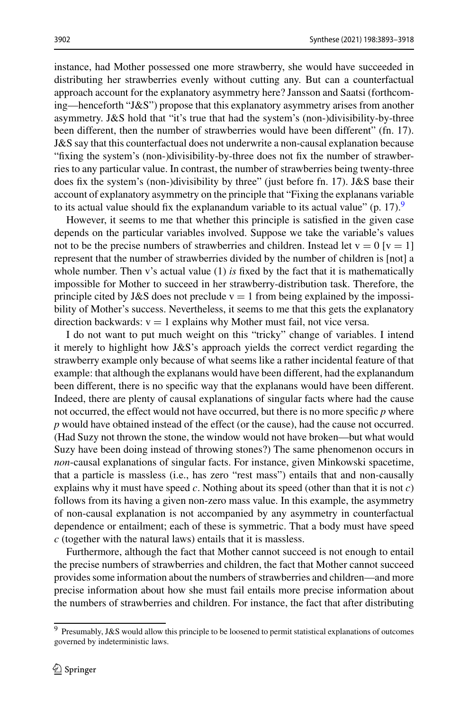instance, had Mother possessed one more strawberry, she would have succeeded in distributing her strawberries evenly without cutting any. But can a counterfactual approach account for the explanatory asymmetry here? Jansson and Saatsi (forthcoming—henceforth "J&S") propose that this explanatory asymmetry arises from another asymmetry. J&S hold that "it's true that had the system's (non-)divisibility-by-three been different, then the number of strawberries would have been different" (fn. 17). J&S say that this counterfactual does not underwrite a non-causal explanation because "fixing the system's (non-)divisibility-by-three does not fix the number of strawberries to any particular value. In contrast, the number of strawberries being twenty-three does fix the system's (non-)divisibility by three" (just before fn. 17). J&S base their account of explanatory asymmetry on the principle that "Fixing the explanans variable to its actual value should fix the explanandum variable to its actual value"  $(p. 17)$ .

However, it seems to me that whether this principle is satisfied in the given case depends on the particular variables involved. Suppose we take the variable's values not to be the precise numbers of strawberries and children. Instead let  $v = 0$  [ $v = 1$ ] represent that the number of strawberries divided by the number of children is [not] a whole number. Then v's actual value (1) *is* fixed by the fact that it is mathematically impossible for Mother to succeed in her strawberry-distribution task. Therefore, the principle cited by J&S does not preclude  $v = 1$  from being explained by the impossibility of Mother's success. Nevertheless, it seems to me that this gets the explanatory direction backwards:  $v = 1$  explains why Mother must fail, not vice versa.

I do not want to put much weight on this "tricky" change of variables. I intend it merely to highlight how J&S's approach yields the correct verdict regarding the strawberry example only because of what seems like a rather incidental feature of that example: that although the explanans would have been different, had the explanandum been different, there is no specific way that the explanans would have been different. Indeed, there are plenty of causal explanations of singular facts where had the cause not occurred, the effect would not have occurred, but there is no more specific *p* where *p* would have obtained instead of the effect (or the cause), had the cause not occurred. (Had Suzy not thrown the stone, the window would not have broken—but what would Suzy have been doing instead of throwing stones?) The same phenomenon occurs in *non*-causal explanations of singular facts. For instance, given Minkowski spacetime, that a particle is massless (i.e., has zero "rest mass") entails that and non-causally explains why it must have speed *c*. Nothing about its speed (other than that it is not *c*) follows from its having a given non-zero mass value. In this example, the asymmetry of non-causal explanation is not accompanied by any asymmetry in counterfactual dependence or entailment; each of these is symmetric. That a body must have speed *c* (together with the natural laws) entails that it is massless.

Furthermore, although the fact that Mother cannot succeed is not enough to entail the precise numbers of strawberries and children, the fact that Mother cannot succeed provides some information about the numbers of strawberries and children—and more precise information about how she must fail entails more precise information about the numbers of strawberries and children. For instance, the fact that after distributing

<span id="page-9-0"></span><sup>9</sup> Presumably, J&S would allow this principle to be loosened to permit statistical explanations of outcomes governed by indeterministic laws.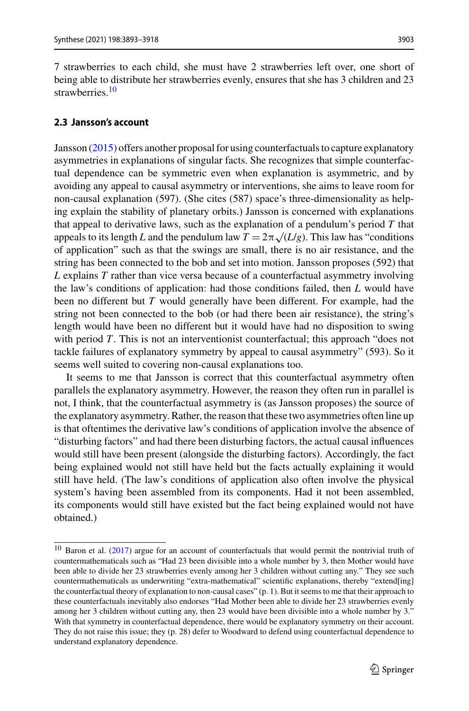7 strawberries to each child, she must have 2 strawberries left over, one short of being able to distribute her strawberries evenly, ensures that she has 3 children and 23 strawberries<sup>10</sup>

# <span id="page-10-0"></span>**2.3 Jansson's account**

Jansson [\(2015\)](#page-24-2) offers another proposal for using counterfactuals to capture explanatory asymmetries in explanations of singular facts. She recognizes that simple counterfactual dependence can be symmetric even when explanation is asymmetric, and by avoiding any appeal to causal asymmetry or interventions, she aims to leave room for non-causal explanation (597). (She cites (587) space's three-dimensionality as helping explain the stability of planetary orbits.) Jansson is concerned with explanations that appeal to derivative laws, such as the explanation of a pendulum's period *T* that appeals to its length *L* and the pendulum law  $T = 2\pi \sqrt{(L/g)}$ . This law has "conditions" of application" such as that the swings are small, there is no air resistance, and the string has been connected to the bob and set into motion. Jansson proposes (592) that *L* explains *T* rather than vice versa because of a counterfactual asymmetry involving the law's conditions of application: had those conditions failed, then *L* would have been no different but *T* would generally have been different. For example, had the string not been connected to the bob (or had there been air resistance), the string's length would have been no different but it would have had no disposition to swing with period *T*. This is not an interventionist counterfactual; this approach "does not tackle failures of explanatory symmetry by appeal to causal asymmetry" (593). So it seems well suited to covering non-causal explanations too.

It seems to me that Jansson is correct that this counterfactual asymmetry often parallels the explanatory asymmetry. However, the reason they often run in parallel is not, I think, that the counterfactual asymmetry is (as Jansson proposes) the source of the explanatory asymmetry. Rather, the reason that these two asymmetries often line up is that oftentimes the derivative law's conditions of application involve the absence of "disturbing factors" and had there been disturbing factors, the actual causal influences would still have been present (alongside the disturbing factors). Accordingly, the fact being explained would not still have held but the facts actually explaining it would still have held. (The law's conditions of application also often involve the physical system's having been assembled from its components. Had it not been assembled, its components would still have existed but the fact being explained would not have obtained.)

<span id="page-10-1"></span><sup>10</sup> Baron et al. [\(2017\)](#page-24-9) argue for an account of counterfactuals that would permit the nontrivial truth of countermathematicals such as "Had 23 been divisible into a whole number by 3, then Mother would have been able to divide her 23 strawberries evenly among her 3 children without cutting any." They see such countermathematicals as underwriting "extra-mathematical" scientific explanations, thereby "extend[ing] the counterfactual theory of explanation to non-causal cases" (p. 1). But it seems to me that their approach to these counterfactuals inevitably also endorses "Had Mother been able to divide her 23 strawberries evenly among her 3 children without cutting any, then 23 would have been divisible into a whole number by 3." With that symmetry in counterfactual dependence, there would be explanatory symmetry on their account. They do not raise this issue; they (p. 28) defer to Woodward to defend using counterfactual dependence to understand explanatory dependence.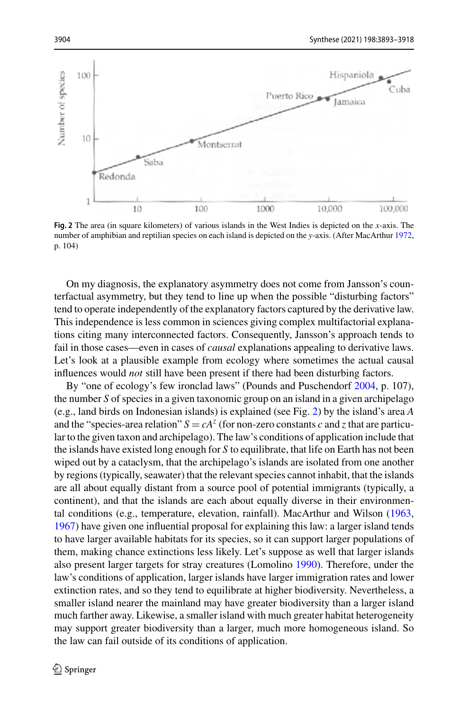

<span id="page-11-0"></span>**Fig. 2** The area (in square kilometers) of various islands in the West Indies is depicted on the *x*-axis. The number of amphibian and reptilian species on each island is depicted on the *y*-axis. (After MacArthur [1972,](#page-24-10) p. 104)

On my diagnosis, the explanatory asymmetry does not come from Jansson's counterfactual asymmetry, but they tend to line up when the possible "disturbing factors" tend to operate independently of the explanatory factors captured by the derivative law. This independence is less common in sciences giving complex multifactorial explanations citing many interconnected factors. Consequently, Jansson's approach tends to fail in those cases—even in cases of *causal* explanations appealing to derivative laws. Let's look at a plausible example from ecology where sometimes the actual causal influences would *not* still have been present if there had been disturbing factors.

By "one of ecology's few ironclad laws" (Pounds and Puschendorf [2004,](#page-24-11) p. 107), the number *S* of species in a given taxonomic group on an island in a given archipelago (e.g., land birds on Indonesian islands) is explained (see Fig. [2\)](#page-11-0) by the island's area *A* and the "species-area relation"  $S = cA^z$  (for non-zero constants *c* and *z* that are particular to the given taxon and archipelago). The law's conditions of application include that the islands have existed long enough for *S* to equilibrate, that life on Earth has not been wiped out by a cataclysm, that the archipelago's islands are isolated from one another by regions (typically, seawater) that the relevant species cannot inhabit, that the islands are all about equally distant from a source pool of potential immigrants (typically, a continent), and that the islands are each about equally diverse in their environmental conditions (e.g., temperature, elevation, rainfall). MacArthur and Wilson [\(1963,](#page-24-12) [1967\)](#page-24-13) have given one influential proposal for explaining this law: a larger island tends to have larger available habitats for its species, so it can support larger populations of them, making chance extinctions less likely. Let's suppose as well that larger islands also present larger targets for stray creatures (Lomolino [1990\)](#page-24-14). Therefore, under the law's conditions of application, larger islands have larger immigration rates and lower extinction rates, and so they tend to equilibrate at higher biodiversity. Nevertheless, a smaller island nearer the mainland may have greater biodiversity than a larger island much farther away. Likewise, a smaller island with much greater habitat heterogeneity may support greater biodiversity than a larger, much more homogeneous island. So the law can fail outside of its conditions of application.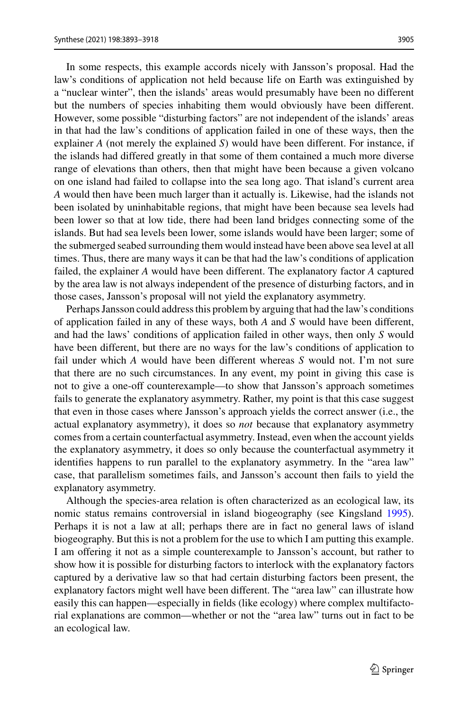In some respects, this example accords nicely with Jansson's proposal. Had the law's conditions of application not held because life on Earth was extinguished by a "nuclear winter", then the islands' areas would presumably have been no different but the numbers of species inhabiting them would obviously have been different. However, some possible "disturbing factors" are not independent of the islands' areas in that had the law's conditions of application failed in one of these ways, then the explainer *A* (not merely the explained *S*) would have been different. For instance, if the islands had differed greatly in that some of them contained a much more diverse range of elevations than others, then that might have been because a given volcano on one island had failed to collapse into the sea long ago. That island's current area *A* would then have been much larger than it actually is. Likewise, had the islands not been isolated by uninhabitable regions, that might have been because sea levels had been lower so that at low tide, there had been land bridges connecting some of the islands. But had sea levels been lower, some islands would have been larger; some of the submerged seabed surrounding them would instead have been above sea level at all times. Thus, there are many ways it can be that had the law's conditions of application failed, the explainer *A* would have been different. The explanatory factor *A* captured by the area law is not always independent of the presence of disturbing factors, and in those cases, Jansson's proposal will not yield the explanatory asymmetry.

Perhaps Jansson could address this problem by arguing that had the law's conditions of application failed in any of these ways, both *A* and *S* would have been different, and had the laws' conditions of application failed in other ways, then only *S* would have been different, but there are no ways for the law's conditions of application to fail under which *A* would have been different whereas *S* would not. I'm not sure that there are no such circumstances. In any event, my point in giving this case is not to give a one-off counterexample—to show that Jansson's approach sometimes fails to generate the explanatory asymmetry. Rather, my point is that this case suggest that even in those cases where Jansson's approach yields the correct answer (i.e., the actual explanatory asymmetry), it does so *not* because that explanatory asymmetry comes from a certain counterfactual asymmetry. Instead, even when the account yields the explanatory asymmetry, it does so only because the counterfactual asymmetry it identifies happens to run parallel to the explanatory asymmetry. In the "area law" case, that parallelism sometimes fails, and Jansson's account then fails to yield the explanatory asymmetry.

Although the species-area relation is often characterized as an ecological law, its nomic status remains controversial in island biogeography (see Kingsland [1995\)](#page-24-15). Perhaps it is not a law at all; perhaps there are in fact no general laws of island biogeography. But this is not a problem for the use to which I am putting this example. I am offering it not as a simple counterexample to Jansson's account, but rather to show how it is possible for disturbing factors to interlock with the explanatory factors captured by a derivative law so that had certain disturbing factors been present, the explanatory factors might well have been different. The "area law" can illustrate how easily this can happen—especially in fields (like ecology) where complex multifactorial explanations are common—whether or not the "area law" turns out in fact to be an ecological law.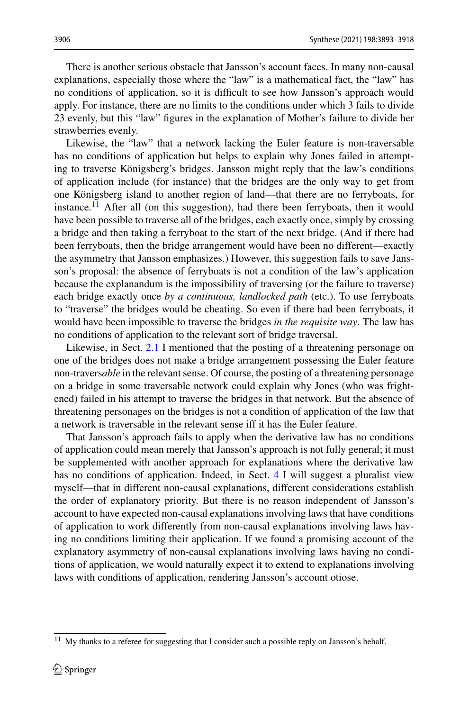There is another serious obstacle that Jansson's account faces. In many non-causal explanations, especially those where the "law" is a mathematical fact, the "law" has no conditions of application, so it is difficult to see how Jansson's approach would apply. For instance, there are no limits to the conditions under which 3 fails to divide 23 evenly, but this "law" figures in the explanation of Mother's failure to divide her strawberries evenly.

Likewise, the "law" that a network lacking the Euler feature is non-traversable has no conditions of application but helps to explain why Jones failed in attempting to traverse Königsberg's bridges. Jansson might reply that the law's conditions of application include (for instance) that the bridges are the only way to get from one Königsberg island to another region of land—that there are no ferryboats, for instance.<sup>[11](#page-13-0)</sup> After all (on this suggestion), had there been ferryboats, then it would have been possible to traverse all of the bridges, each exactly once, simply by crossing a bridge and then taking a ferryboat to the start of the next bridge. (And if there had been ferryboats, then the bridge arrangement would have been no different—exactly the asymmetry that Jansson emphasizes.) However, this suggestion fails to save Jansson's proposal: the absence of ferryboats is not a condition of the law's application because the explanandum is the impossibility of traversing (or the failure to traverse) each bridge exactly once *by a continuous, landlocked path* (etc.). To use ferryboats to "traverse" the bridges would be cheating. So even if there had been ferryboats, it would have been impossible to traverse the bridges *in the requisite way*. The law has no conditions of application to the relevant sort of bridge traversal.

Likewise, in Sect. [2.1](#page-2-1) I mentioned that the posting of a threatening personage on one of the bridges does not make a bridge arrangement possessing the Euler feature non-travers*able* in the relevant sense. Of course, the posting of a threatening personage on a bridge in some traversable network could explain why Jones (who was frightened) failed in his attempt to traverse the bridges in that network. But the absence of threatening personages on the bridges is not a condition of application of the law that a network is traversable in the relevant sense iff it has the Euler feature.

That Jansson's approach fails to apply when the derivative law has no conditions of application could mean merely that Jansson's approach is not fully general; it must be supplemented with another approach for explanations where the derivative law has no conditions of application. Indeed, in Sect. [4](#page-22-0) I will suggest a pluralist view myself—that in different non-causal explanations, different considerations establish the order of explanatory priority. But there is no reason independent of Jansson's account to have expected non-causal explanations involving laws that have conditions of application to work differently from non-causal explanations involving laws having no conditions limiting their application. If we found a promising account of the explanatory asymmetry of non-causal explanations involving laws having no conditions of application, we would naturally expect it to extend to explanations involving laws with conditions of application, rendering Jansson's account otiose.

<span id="page-13-0"></span> $11$  My thanks to a referee for suggesting that I consider such a possible reply on Jansson's behalf.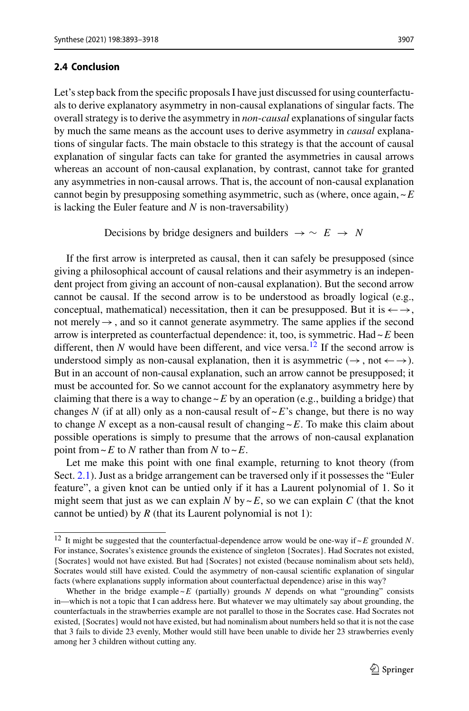<span id="page-14-0"></span>Let's step back from the specific proposals I have just discussed for using counterfactuals to derive explanatory asymmetry in non-causal explanations of singular facts. The overall strategy is to derive the asymmetry in *non*-*causal* explanations of singular facts by much the same means as the account uses to derive asymmetry in *causal* explanations of singular facts. The main obstacle to this strategy is that the account of causal explanation of singular facts can take for granted the asymmetries in causal arrows whereas an account of non-causal explanation, by contrast, cannot take for granted any asymmetries in non-causal arrows. That is, the account of non-causal explanation cannot begin by presupposing something asymmetric, such as (where, once again,  $\sim$   $E$ is lacking the Euler feature and *N* is non-traversability)

Decisions by bridge designers and builders  $\rightarrow \sim E \rightarrow N$ 

If the first arrow is interpreted as causal, then it can safely be presupposed (since giving a philosophical account of causal relations and their asymmetry is an independent project from giving an account of non-causal explanation). But the second arrow cannot be causal. If the second arrow is to be understood as broadly logical (e.g., conceptual, mathematical) necessitation, then it can be presupposed. But it is  $\leftarrow \rightarrow$ , not merely  $\rightarrow$ , and so it cannot generate asymmetry. The same applies if the second arrow is interpreted as counterfactual dependence: it, too, is symmetric. Had ~*E* been different, then  $N$  would have been different, and vice versa.<sup>[12](#page-14-1)</sup> If the second arrow is understood simply as non-causal explanation, then it is asymmetric  $(\rightarrow, \text{not} \leftarrow \rightarrow)$ . But in an account of non-causal explanation, such an arrow cannot be presupposed; it must be accounted for. So we cannot account for the explanatory asymmetry here by claiming that there is a way to change  $\sim$  E by an operation (e.g., building a bridge) that changes N (if at all) only as a non-causal result of  $\sim$  E's change, but there is no way to change *N* except as a non-causal result of changing ~*E*. To make this claim about possible operations is simply to presume that the arrows of non-causal explanation point from  $\sim$  *E* to *N* rather than from *N* to  $\sim$  *E*.

Let me make this point with one final example, returning to knot theory (from Sect. [2.1\)](#page-2-1). Just as a bridge arrangement can be traversed only if it possesses the "Euler feature", a given knot can be untied only if it has a Laurent polynomial of 1. So it might seem that just as we can explain *N* by  $\nu E$ , so we can explain *C* (that the knot cannot be untied) by  $R$  (that its Laurent polynomial is not 1):

<span id="page-14-1"></span><sup>&</sup>lt;sup>12</sup> It might be suggested that the counterfactual-dependence arrow would be one-way if  $\sim$  *E* grounded *N*. For instance, Socrates's existence grounds the existence of singleton {Socrates}. Had Socrates not existed, {Socrates} would not have existed. But had {Socrates} not existed (because nominalism about sets held), Socrates would still have existed. Could the asymmetry of non-causal scientific explanation of singular facts (where explanations supply information about counterfactual dependence) arise in this way?

Whether in the bridge example  $\sim$   $E$  (partially) grounds  $N$  depends on what "grounding" consists in—which is not a topic that I can address here. But whatever we may ultimately say about grounding, the counterfactuals in the strawberries example are not parallel to those in the Socrates case. Had Socrates not existed, {Socrates} would not have existed, but had nominalism about numbers held so that it is not the case that 3 fails to divide 23 evenly, Mother would still have been unable to divide her 23 strawberries evenly among her 3 children without cutting any.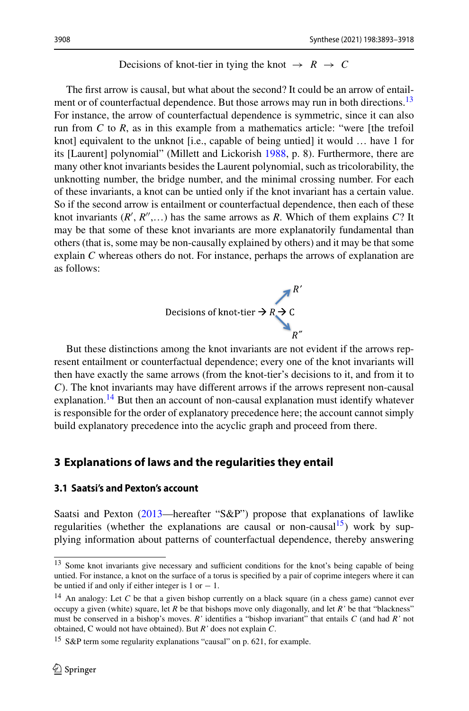#### Decisions of knot-tier in tying the knot  $\rightarrow R \rightarrow C$

The first arrow is causal, but what about the second? It could be an arrow of entailment or of counterfactual dependence. But those arrows may run in both directions.<sup>13</sup> For instance, the arrow of counterfactual dependence is symmetric, since it can also run from *C* to *R*, as in this example from a mathematics article: "were [the trefoil knot] equivalent to the unknot [i.e., capable of being untied] it would … have 1 for its [Laurent] polynomial" (Millett and Lickorish [1988,](#page-24-16) p. 8). Furthermore, there are many other knot invariants besides the Laurent polynomial, such as tricolorability, the unknotting number, the bridge number, and the minimal crossing number. For each of these invariants, a knot can be untied only if the knot invariant has a certain value. So if the second arrow is entailment or counterfactual dependence, then each of these knot invariants  $(R', R'', \ldots)$  has the same arrows as *R*. Which of them explains *C*? It may be that some of these knot invariants are more explanatorily fundamental than others (that is, some may be non-causally explained by others) and it may be that some explain *C* whereas others do not. For instance, perhaps the arrows of explanation are as follows:



But these distinctions among the knot invariants are not evident if the arrows represent entailment or counterfactual dependence; every one of the knot invariants will then have exactly the same arrows (from the knot-tier's decisions to it, and from it to *C*). The knot invariants may have different arrows if the arrows represent non-causal explanation.<sup>14</sup> But then an account of non-causal explanation must identify whatever is responsible for the order of explanatory precedence here; the account cannot simply build explanatory precedence into the acyclic graph and proceed from there.

# <span id="page-15-0"></span>**3 Explanations of laws and the regularities they entail**

#### <span id="page-15-1"></span>**3.1 Saatsi's and Pexton's account**

Saatsi and Pexton [\(2013—](#page-25-1)hereafter "S&P") propose that explanations of lawlike regularities (whether the explanations are causal or non-causal<sup>15</sup>) work by supplying information about patterns of counterfactual dependence, thereby answering

<span id="page-15-2"></span><sup>&</sup>lt;sup>13</sup> Some knot invariants give necessary and sufficient conditions for the knot's being capable of being untied. For instance, a knot on the surface of a torus is specified by a pair of coprime integers where it can be untied if and only if either integer is  $1$  or  $-1$ .

<span id="page-15-3"></span><sup>&</sup>lt;sup>14</sup> An analogy: Let *C* be that a given bishop currently on a black square (in a chess game) cannot ever occupy a given (white) square, let *R* be that bishops move only diagonally, and let *R'* be that "blackness" must be conserved in a bishop's moves. *R'* identifies a "bishop invariant" that entails *C* (and had *R'* not obtained, C would not have obtained). But *R'* does not explain *C*.

<span id="page-15-4"></span><sup>&</sup>lt;sup>15</sup> S&P term some regularity explanations "causal" on p. 621, for example.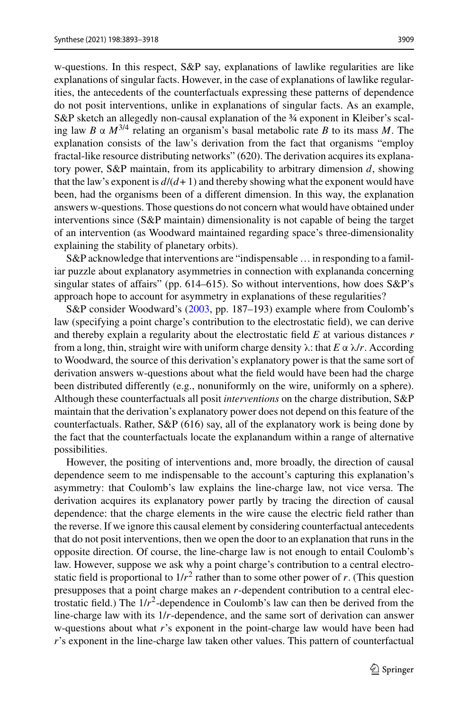w-questions. In this respect, S&P say, explanations of lawlike regularities are like explanations of singular facts. However, in the case of explanations of lawlike regularities, the antecedents of the counterfactuals expressing these patterns of dependence do not posit interventions, unlike in explanations of singular facts. As an example, S&P sketch an allegedly non-causal explanation of the 3⁄4 exponent in Kleiber's scaling law *B* α *M*3/4 relating an organism's basal metabolic rate *B* to its mass *M*. The explanation consists of the law's derivation from the fact that organisms "employ fractal-like resource distributing networks" (620). The derivation acquires its explanatory power, S&P maintain, from its applicability to arbitrary dimension *d*, showing that the law's exponent is  $d/(d+1)$  and thereby showing what the exponent would have been, had the organisms been of a different dimension. In this way, the explanation answers w-questions. Those questions do not concern what would have obtained under interventions since (S&P maintain) dimensionality is not capable of being the target of an intervention (as Woodward maintained regarding space's three-dimensionality explaining the stability of planetary orbits).

S&P acknowledge that interventions are "indispensable … in responding to a familiar puzzle about explanatory asymmetries in connection with explananda concerning singular states of affairs" (pp. 614–615). So without interventions, how does  $S\&P$ 's approach hope to account for asymmetry in explanations of these regularities?

S&P consider Woodward's [\(2003,](#page-25-3) pp. 187–193) example where from Coulomb's law (specifying a point charge's contribution to the electrostatic field), we can derive and thereby explain a regularity about the electrostatic field *E* at various distances *r* from a long, thin, straight wire with uniform charge density λ: that *E* α λ/*r*. According to Woodward, the source of this derivation's explanatory power is that the same sort of derivation answers w-questions about what the field would have been had the charge been distributed differently (e.g., nonuniformly on the wire, uniformly on a sphere). Although these counterfactuals all posit *interventions* on the charge distribution, S&P maintain that the derivation's explanatory power does not depend on this feature of the counterfactuals. Rather, S&P (616) say, all of the explanatory work is being done by the fact that the counterfactuals locate the explanandum within a range of alternative possibilities.

However, the positing of interventions and, more broadly, the direction of causal dependence seem to me indispensable to the account's capturing this explanation's asymmetry: that Coulomb's law explains the line-charge law, not vice versa. The derivation acquires its explanatory power partly by tracing the direction of causal dependence: that the charge elements in the wire cause the electric field rather than the reverse. If we ignore this causal element by considering counterfactual antecedents that do not posit interventions, then we open the door to an explanation that runs in the opposite direction. Of course, the line-charge law is not enough to entail Coulomb's law. However, suppose we ask why a point charge's contribution to a central electrostatic field is proportional to  $1/r^2$  rather than to some other power of *r*. (This question presupposes that a point charge makes an *r*-dependent contribution to a central electrostatic field.) The  $1/r^2$ -dependence in Coulomb's law can then be derived from the line-charge law with its 1/*r*-dependence, and the same sort of derivation can answer w-questions about what *r*'s exponent in the point-charge law would have been had *r*'s exponent in the line-charge law taken other values. This pattern of counterfactual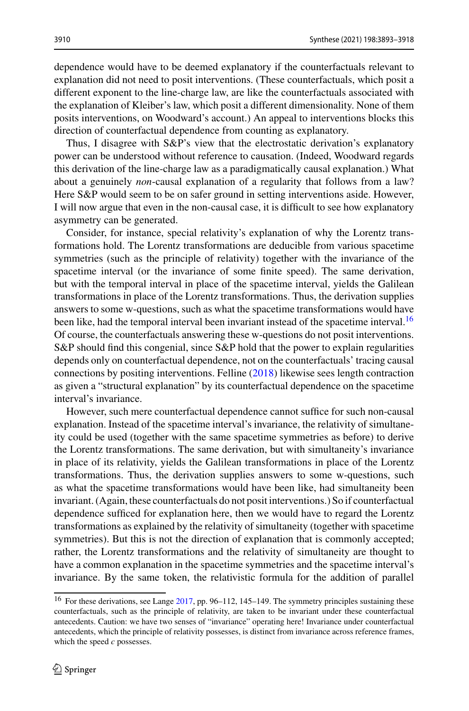dependence would have to be deemed explanatory if the counterfactuals relevant to explanation did not need to posit interventions. (These counterfactuals, which posit a different exponent to the line-charge law, are like the counterfactuals associated with the explanation of Kleiber's law, which posit a different dimensionality. None of them posits interventions, on Woodward's account.) An appeal to interventions blocks this direction of counterfactual dependence from counting as explanatory.

Thus, I disagree with S&P's view that the electrostatic derivation's explanatory power can be understood without reference to causation. (Indeed, Woodward regards this derivation of the line-charge law as a paradigmatically causal explanation.) What about a genuinely *non*-causal explanation of a regularity that follows from a law? Here S&P would seem to be on safer ground in setting interventions aside. However, I will now argue that even in the non-causal case, it is difficult to see how explanatory asymmetry can be generated.

Consider, for instance, special relativity's explanation of why the Lorentz transformations hold. The Lorentz transformations are deducible from various spacetime symmetries (such as the principle of relativity) together with the invariance of the spacetime interval (or the invariance of some finite speed). The same derivation, but with the temporal interval in place of the spacetime interval, yields the Galilean transformations in place of the Lorentz transformations. Thus, the derivation supplies answers to some w-questions, such as what the spacetime transformations would have been like, had the temporal interval been invariant instead of the spacetime interval.<sup>[16](#page-17-0)</sup> Of course, the counterfactuals answering these w-questions do not posit interventions. S&P should find this congenial, since S&P hold that the power to explain regularities depends only on counterfactual dependence, not on the counterfactuals' tracing causal connections by positing interventions. Felline [\(2018\)](#page-24-1) likewise sees length contraction as given a "structural explanation" by its counterfactual dependence on the spacetime interval's invariance.

However, such mere counterfactual dependence cannot suffice for such non-causal explanation. Instead of the spacetime interval's invariance, the relativity of simultaneity could be used (together with the same spacetime symmetries as before) to derive the Lorentz transformations. The same derivation, but with simultaneity's invariance in place of its relativity, yields the Galilean transformations in place of the Lorentz transformations. Thus, the derivation supplies answers to some w-questions, such as what the spacetime transformations would have been like, had simultaneity been invariant. (Again, these counterfactuals do not posit interventions.) So if counterfactual dependence sufficed for explanation here, then we would have to regard the Lorentz transformations as explained by the relativity of simultaneity (together with spacetime symmetries). But this is not the direction of explanation that is commonly accepted; rather, the Lorentz transformations and the relativity of simultaneity are thought to have a common explanation in the spacetime symmetries and the spacetime interval's invariance. By the same token, the relativistic formula for the addition of parallel

<span id="page-17-0"></span><sup>&</sup>lt;sup>16</sup> For these derivations, see Lange [2017,](#page-24-3) pp. 96–112, 145–149. The symmetry principles sustaining these counterfactuals, such as the principle of relativity, are taken to be invariant under these counterfactual antecedents. Caution: we have two senses of "invariance" operating here! Invariance under counterfactual antecedents, which the principle of relativity possesses, is distinct from invariance across reference frames, which the speed *c* possesses.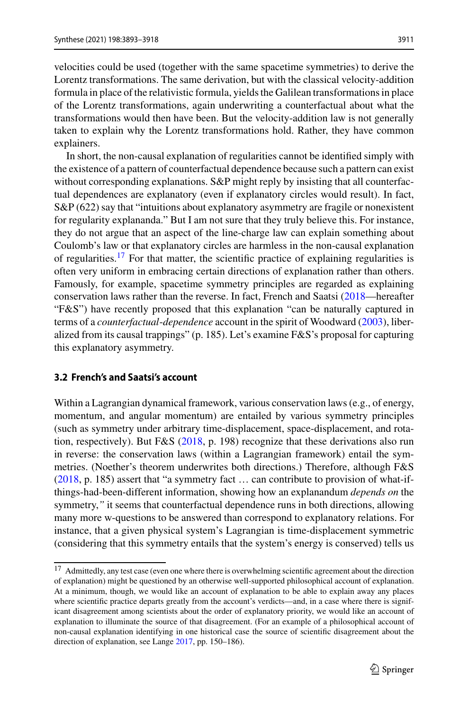velocities could be used (together with the same spacetime symmetries) to derive the Lorentz transformations. The same derivation, but with the classical velocity-addition formula in place of the relativistic formula, yields the Galilean transformations in place of the Lorentz transformations, again underwriting a counterfactual about what the transformations would then have been. But the velocity-addition law is not generally taken to explain why the Lorentz transformations hold. Rather, they have common explainers.

In short, the non-causal explanation of regularities cannot be identified simply with the existence of a pattern of counterfactual dependence because such a pattern can exist without corresponding explanations. S&P might reply by insisting that all counterfactual dependences are explanatory (even if explanatory circles would result). In fact, S&P (622) say that "intuitions about explanatory asymmetry are fragile or nonexistent for regularity explananda." But I am not sure that they truly believe this. For instance, they do not argue that an aspect of the line-charge law can explain something about Coulomb's law or that explanatory circles are harmless in the non-causal explanation of regularities.[17](#page-18-1) For that matter, the scientific practice of explaining regularities is often very uniform in embracing certain directions of explanation rather than others. Famously, for example, spacetime symmetry principles are regarded as explaining conservation laws rather than the reverse. In fact, French and Saatsi [\(2018—](#page-24-4)hereafter "F&S") have recently proposed that this explanation "can be naturally captured in terms of a *counterfactual*-*dependence* account in the spirit of Woodward [\(2003\)](#page-25-3), liberalized from its causal trappings" (p. 185). Let's examine F&S's proposal for capturing this explanatory asymmetry.

#### <span id="page-18-0"></span>**3.2 French's and Saatsi's account**

Within a Lagrangian dynamical framework, various conservation laws (e.g., of energy, momentum, and angular momentum) are entailed by various symmetry principles (such as symmetry under arbitrary time-displacement, space-displacement, and rotation, respectively). But F&S [\(2018,](#page-24-4) p. 198) recognize that these derivations also run in reverse: the conservation laws (within a Lagrangian framework) entail the symmetries. (Noether's theorem underwrites both directions.) Therefore, although F&S [\(2018,](#page-24-4) p. 185) assert that "a symmetry fact … can contribute to provision of what-ifthings-had-been-different information, showing how an explanandum *depends on* the symmetry,*"* it seems that counterfactual dependence runs in both directions, allowing many more w-questions to be answered than correspond to explanatory relations. For instance, that a given physical system's Lagrangian is time-displacement symmetric (considering that this symmetry entails that the system's energy is conserved) tells us

<span id="page-18-1"></span><sup>&</sup>lt;sup>17</sup> Admittedly, any test case (even one where there is overwhelming scientific agreement about the direction of explanation) might be questioned by an otherwise well-supported philosophical account of explanation. At a minimum, though, we would like an account of explanation to be able to explain away any places where scientific practice departs greatly from the account's verdicts—and, in a case where there is significant disagreement among scientists about the order of explanatory priority, we would like an account of explanation to illuminate the source of that disagreement. (For an example of a philosophical account of non-causal explanation identifying in one historical case the source of scientific disagreement about the direction of explanation, see Lange [2017,](#page-24-3) pp. 150–186).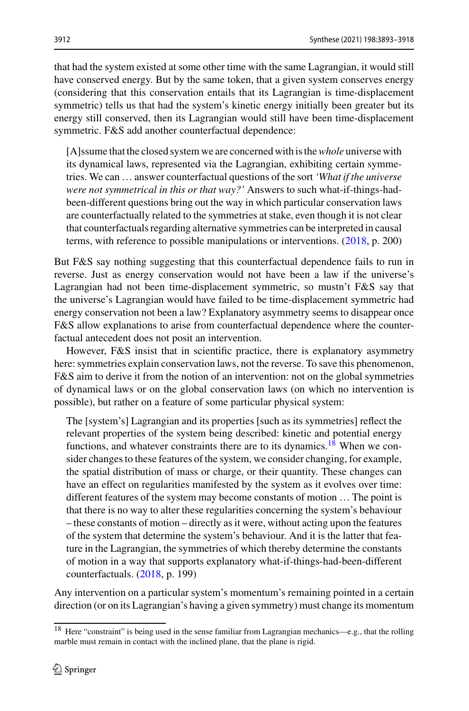that had the system existed at some other time with the same Lagrangian, it would still have conserved energy. But by the same token, that a given system conserves energy (considering that this conservation entails that its Lagrangian is time-displacement symmetric) tells us that had the system's kinetic energy initially been greater but its energy still conserved, then its Lagrangian would still have been time-displacement symmetric. F&S add another counterfactual dependence:

[A]ssume that the closed system we are concerned with is the*whole* universe with its dynamical laws, represented via the Lagrangian, exhibiting certain symmetries. We can … answer counterfactual questions of the sort *'What if the universe were not symmetrical in this or that way?'* Answers to such what-if-things-hadbeen-different questions bring out the way in which particular conservation laws are counterfactually related to the symmetries at stake, even though it is not clear that counterfactuals regarding alternative symmetries can be interpreted in causal terms, with reference to possible manipulations or interventions. [\(2018,](#page-24-4) p. 200)

But F&S say nothing suggesting that this counterfactual dependence fails to run in reverse. Just as energy conservation would not have been a law if the universe's Lagrangian had not been time-displacement symmetric, so mustn't F&S say that the universe's Lagrangian would have failed to be time-displacement symmetric had energy conservation not been a law? Explanatory asymmetry seems to disappear once F&S allow explanations to arise from counterfactual dependence where the counterfactual antecedent does not posit an intervention.

However, F&S insist that in scientific practice, there is explanatory asymmetry here: symmetries explain conservation laws, not the reverse. To save this phenomenon, F&S aim to derive it from the notion of an intervention: not on the global symmetries of dynamical laws or on the global conservation laws (on which no intervention is possible), but rather on a feature of some particular physical system:

The [system's] Lagrangian and its properties [such as its symmetries] reflect the relevant properties of the system being described: kinetic and potential energy functions, and whatever constraints there are to its dynamics.<sup>18</sup> When we consider changes to these features of the system, we consider changing, for example, the spatial distribution of mass or charge, or their quantity. These changes can have an effect on regularities manifested by the system as it evolves over time: different features of the system may become constants of motion … The point is that there is no way to alter these regularities concerning the system's behaviour – these constants of motion – directly as it were, without acting upon the features of the system that determine the system's behaviour. And it is the latter that feature in the Lagrangian, the symmetries of which thereby determine the constants of motion in a way that supports explanatory what-if-things-had-been-different counterfactuals. [\(2018,](#page-24-4) p. 199)

Any intervention on a particular system's momentum's remaining pointed in a certain direction (or on its Lagrangian's having a given symmetry) must change its momentum

<span id="page-19-0"></span><sup>18</sup> Here "constraint" is being used in the sense familiar from Lagrangian mechanics—e.g., that the rolling marble must remain in contact with the inclined plane, that the plane is rigid.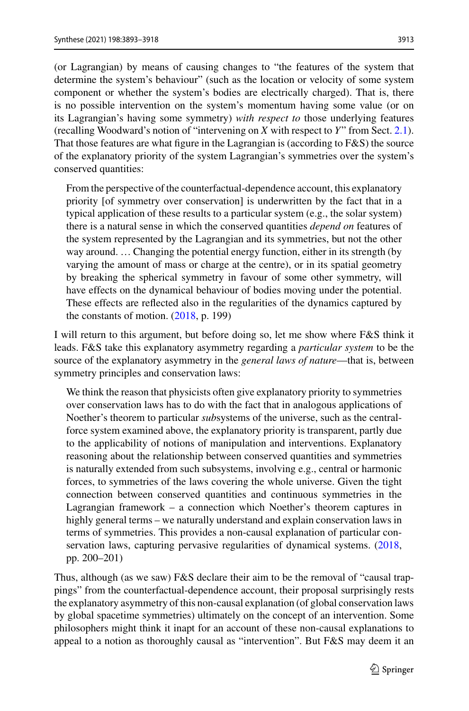(or Lagrangian) by means of causing changes to "the features of the system that determine the system's behaviour" (such as the location or velocity of some system component or whether the system's bodies are electrically charged). That is, there is no possible intervention on the system's momentum having some value (or on its Lagrangian's having some symmetry) *with respect to* those underlying features (recalling Woodward's notion of "intervening on *X* with respect to *Y*" from Sect. [2.1\)](#page-2-1). That those features are what figure in the Lagrangian is (according to F&S) the source of the explanatory priority of the system Lagrangian's symmetries over the system's conserved quantities:

From the perspective of the counterfactual-dependence account, this explanatory priority [of symmetry over conservation] is underwritten by the fact that in a typical application of these results to a particular system (e.g., the solar system) there is a natural sense in which the conserved quantities *depend on* features of the system represented by the Lagrangian and its symmetries, but not the other way around. … Changing the potential energy function, either in its strength (by varying the amount of mass or charge at the centre), or in its spatial geometry by breaking the spherical symmetry in favour of some other symmetry, will have effects on the dynamical behaviour of bodies moving under the potential. These effects are reflected also in the regularities of the dynamics captured by the constants of motion. [\(2018,](#page-24-4) p. 199)

I will return to this argument, but before doing so, let me show where F&S think it leads. F&S take this explanatory asymmetry regarding a *particular system* to be the source of the explanatory asymmetry in the *general laws of nature*—that is, between symmetry principles and conservation laws:

We think the reason that physicists often give explanatory priority to symmetries over conservation laws has to do with the fact that in analogous applications of Noether's theorem to particular *sub*systems of the universe, such as the centralforce system examined above, the explanatory priority is transparent, partly due to the applicability of notions of manipulation and interventions. Explanatory reasoning about the relationship between conserved quantities and symmetries is naturally extended from such subsystems, involving e.g., central or harmonic forces, to symmetries of the laws covering the whole universe. Given the tight connection between conserved quantities and continuous symmetries in the Lagrangian framework – a connection which Noether's theorem captures in highly general terms – we naturally understand and explain conservation laws in terms of symmetries. This provides a non-causal explanation of particular con-servation laws, capturing pervasive regularities of dynamical systems. [\(2018,](#page-24-4) pp. 200–201)

Thus, although (as we saw) F&S declare their aim to be the removal of "causal trappings" from the counterfactual-dependence account, their proposal surprisingly rests the explanatory asymmetry of this non-causal explanation (of global conservation laws by global spacetime symmetries) ultimately on the concept of an intervention. Some philosophers might think it inapt for an account of these non-causal explanations to appeal to a notion as thoroughly causal as "intervention". But F&S may deem it an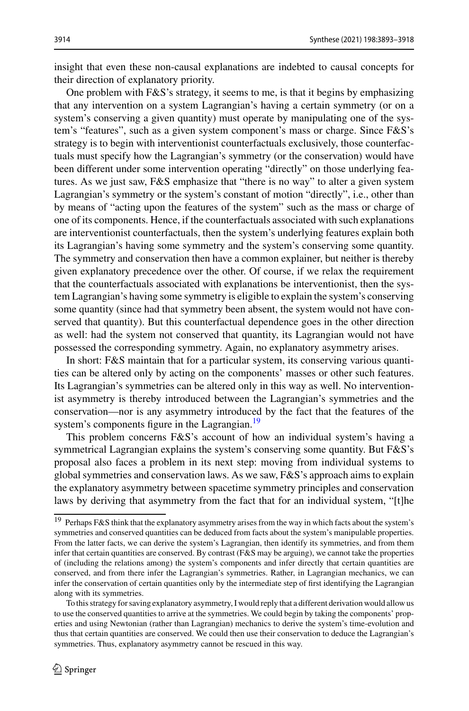insight that even these non-causal explanations are indebted to causal concepts for their direction of explanatory priority.

One problem with  $F\&S$ 's strategy, it seems to me, is that it begins by emphasizing that any intervention on a system Lagrangian's having a certain symmetry (or on a system's conserving a given quantity) must operate by manipulating one of the system's "features", such as a given system component's mass or charge. Since F&S's strategy is to begin with interventionist counterfactuals exclusively, those counterfactuals must specify how the Lagrangian's symmetry (or the conservation) would have been different under some intervention operating "directly" on those underlying features. As we just saw, F&S emphasize that "there is no way" to alter a given system Lagrangian's symmetry or the system's constant of motion "directly", i.e., other than by means of "acting upon the features of the system" such as the mass or charge of one of its components. Hence, if the counterfactuals associated with such explanations are interventionist counterfactuals, then the system's underlying features explain both its Lagrangian's having some symmetry and the system's conserving some quantity. The symmetry and conservation then have a common explainer, but neither is thereby given explanatory precedence over the other. Of course, if we relax the requirement that the counterfactuals associated with explanations be interventionist, then the system Lagrangian's having some symmetry is eligible to explain the system's conserving some quantity (since had that symmetry been absent, the system would not have conserved that quantity). But this counterfactual dependence goes in the other direction as well: had the system not conserved that quantity, its Lagrangian would not have possessed the corresponding symmetry. Again, no explanatory asymmetry arises.

In short: F&S maintain that for a particular system, its conserving various quantities can be altered only by acting on the components' masses or other such features. Its Lagrangian's symmetries can be altered only in this way as well. No interventionist asymmetry is thereby introduced between the Lagrangian's symmetries and the conservation—nor is any asymmetry introduced by the fact that the features of the system's components figure in the Lagrangian.<sup>19</sup>

This problem concerns F&S's account of how an individual system's having a symmetrical Lagrangian explains the system's conserving some quantity. But F&S's proposal also faces a problem in its next step: moving from individual systems to global symmetries and conservation laws. As we saw, F&S's approach aims to explain the explanatory asymmetry between spacetime symmetry principles and conservation laws by deriving that asymmetry from the fact that for an individual system, "[t]he

<span id="page-21-0"></span><sup>19</sup> Perhaps F&S think that the explanatory asymmetry arises from the way in which facts about the system's symmetries and conserved quantities can be deduced from facts about the system's manipulable properties. From the latter facts, we can derive the system's Lagrangian, then identify its symmetries, and from them infer that certain quantities are conserved. By contrast (F&S may be arguing), we cannot take the properties of (including the relations among) the system's components and infer directly that certain quantities are conserved, and from there infer the Lagrangian's symmetries. Rather, in Lagrangian mechanics, we can infer the conservation of certain quantities only by the intermediate step of first identifying the Lagrangian along with its symmetries.

To this strategy for saving explanatory asymmetry, I would reply that a different derivation would allow us to use the conserved quantities to arrive at the symmetries. We could begin by taking the components' properties and using Newtonian (rather than Lagrangian) mechanics to derive the system's time-evolution and thus that certain quantities are conserved. We could then use their conservation to deduce the Lagrangian's symmetries. Thus, explanatory asymmetry cannot be rescued in this way.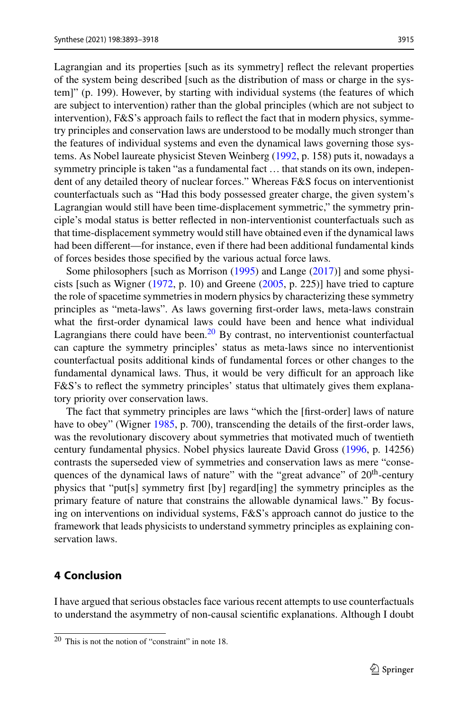Lagrangian and its properties [such as its symmetry] reflect the relevant properties of the system being described [such as the distribution of mass or charge in the system]" (p. 199). However, by starting with individual systems (the features of which are subject to intervention) rather than the global principles (which are not subject to intervention), F&S's approach fails to reflect the fact that in modern physics, symmetry principles and conservation laws are understood to be modally much stronger than the features of individual systems and even the dynamical laws governing those systems. As Nobel laureate physicist Steven Weinberg [\(1992,](#page-25-8) p. 158) puts it, nowadays a symmetry principle is taken "as a fundamental fact ... that stands on its own, independent of any detailed theory of nuclear forces." Whereas F&S focus on interventionist counterfactuals such as "Had this body possessed greater charge, the given system's Lagrangian would still have been time-displacement symmetric," the symmetry principle's modal status is better reflected in non-interventionist counterfactuals such as that time-displacement symmetry would still have obtained even if the dynamical laws had been different—for instance, even if there had been additional fundamental kinds of forces besides those specified by the various actual force laws.

Some philosophers [such as Morrison [\(1995\)](#page-25-9) and Lange [\(2017\)](#page-24-3)] and some physicists [such as Wigner [\(1972,](#page-25-10) p. 10) and Greene [\(2005,](#page-24-0) p. 225)] have tried to capture the role of spacetime symmetries in modern physics by characterizing these symmetry principles as "meta-laws". As laws governing first-order laws, meta-laws constrain what the first-order dynamical laws could have been and hence what individual Lagrangians there could have been.<sup>[20](#page-22-1)</sup> By contrast, no interventionist counterfactual can capture the symmetry principles' status as meta-laws since no interventionist counterfactual posits additional kinds of fundamental forces or other changes to the fundamental dynamical laws. Thus, it would be very difficult for an approach like F&S's to reflect the symmetry principles' status that ultimately gives them explanatory priority over conservation laws.

The fact that symmetry principles are laws "which the [first-order] laws of nature have to obey" (Wigner [1985,](#page-25-11) p. 700), transcending the details of the first-order laws, was the revolutionary discovery about symmetries that motivated much of twentieth century fundamental physics. Nobel physics laureate David Gross [\(1996,](#page-24-17) p. 14256) contrasts the superseded view of symmetries and conservation laws as mere "consequences of the dynamical laws of nature" with the "great advance" of  $20<sup>th</sup>$ -century physics that "put[s] symmetry first [by] regard[ing] the symmetry principles as the primary feature of nature that constrains the allowable dynamical laws." By focusing on interventions on individual systems, F&S's approach cannot do justice to the framework that leads physicists to understand symmetry principles as explaining conservation laws.

# <span id="page-22-0"></span>**4 Conclusion**

I have argued that serious obstacles face various recent attempts to use counterfactuals to understand the asymmetry of non-causal scientific explanations. Although I doubt

<span id="page-22-1"></span><sup>20</sup> This is not the notion of "constraint" in note 18.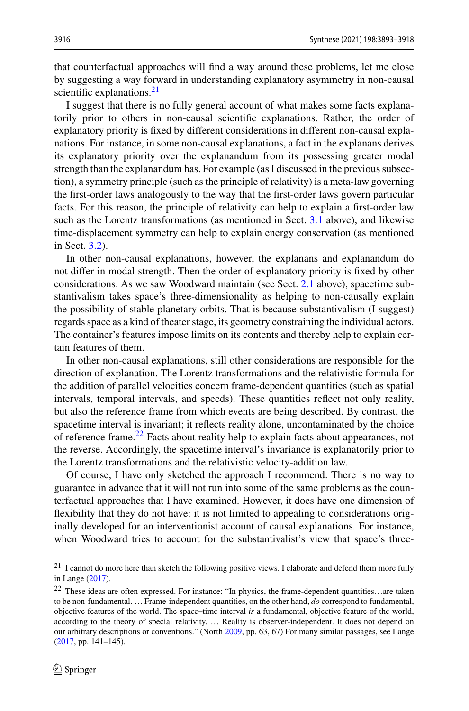that counterfactual approaches will find a way around these problems, let me close by suggesting a way forward in understanding explanatory asymmetry in non-causal scientific explanations.<sup>21</sup>

I suggest that there is no fully general account of what makes some facts explanatorily prior to others in non-causal scientific explanations. Rather, the order of explanatory priority is fixed by different considerations in different non-causal explanations. For instance, in some non-causal explanations, a fact in the explanans derives its explanatory priority over the explanandum from its possessing greater modal strength than the explanandum has. For example (as I discussed in the previous subsection), a symmetry principle (such as the principle of relativity) is a meta-law governing the first-order laws analogously to the way that the first-order laws govern particular facts. For this reason, the principle of relativity can help to explain a first-order law such as the Lorentz transformations (as mentioned in Sect. [3.1](#page-15-1) above), and likewise time-displacement symmetry can help to explain energy conservation (as mentioned in Sect. [3.2\)](#page-18-0).

In other non-causal explanations, however, the explanans and explanandum do not differ in modal strength. Then the order of explanatory priority is fixed by other considerations. As we saw Woodward maintain (see Sect. [2.1](#page-2-1) above), spacetime substantivalism takes space's three-dimensionality as helping to non-causally explain the possibility of stable planetary orbits. That is because substantivalism (I suggest) regards space as a kind of theater stage, its geometry constraining the individual actors. The container's features impose limits on its contents and thereby help to explain certain features of them.

In other non-causal explanations, still other considerations are responsible for the direction of explanation. The Lorentz transformations and the relativistic formula for the addition of parallel velocities concern frame-dependent quantities (such as spatial intervals, temporal intervals, and speeds). These quantities reflect not only reality, but also the reference frame from which events are being described. By contrast, the spacetime interval is invariant; it reflects reality alone, uncontaminated by the choice of reference frame.<sup>[22](#page-23-1)</sup> Facts about reality help to explain facts about appearances, not the reverse. Accordingly, the spacetime interval's invariance is explanatorily prior to the Lorentz transformations and the relativistic velocity-addition law.

Of course, I have only sketched the approach I recommend. There is no way to guarantee in advance that it will not run into some of the same problems as the counterfactual approaches that I have examined. However, it does have one dimension of flexibility that they do not have: it is not limited to appealing to considerations originally developed for an interventionist account of causal explanations. For instance, when Woodward tries to account for the substantivalist's view that space's three-

<span id="page-23-1"></span><span id="page-23-0"></span><sup>&</sup>lt;sup>21</sup> I cannot do more here than sketch the following positive views. I elaborate and defend them more fully in Lange [\(2017\)](#page-24-3).

<sup>22</sup> These ideas are often expressed. For instance: "In physics, the frame-dependent quantities…are taken to be non-fundamental. … Frame-independent quantities, on the other hand, *do* correspond to fundamental, objective features of the world. The space–time interval *is* a fundamental, objective feature of the world, according to the theory of special relativity. … Reality is observer-independent. It does not depend on our arbitrary descriptions or conventions." (North [2009,](#page-25-12) pp. 63, 67) For many similar passages, see Lange [\(2017,](#page-24-3) pp. 141–145).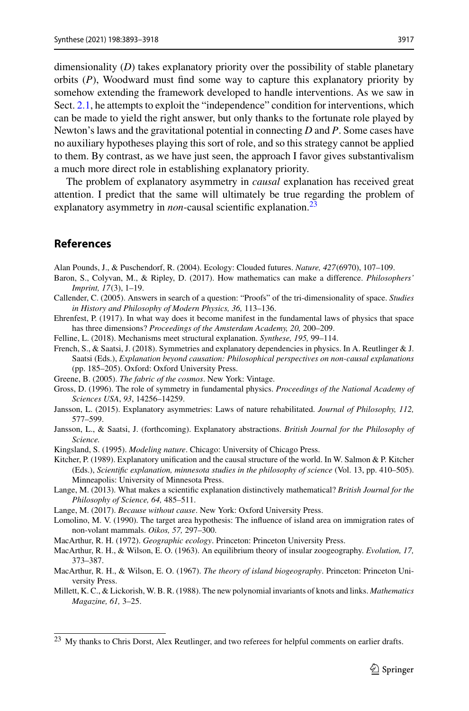dimensionality (*D*) takes explanatory priority over the possibility of stable planetary orbits (*P*), Woodward must find some way to capture this explanatory priority by somehow extending the framework developed to handle interventions. As we saw in Sect. [2.1,](#page-2-1) he attempts to exploit the "independence" condition for interventions, which can be made to yield the right answer, but only thanks to the fortunate role played by Newton's laws and the gravitational potential in connecting *D* and *P*. Some cases have no auxiliary hypotheses playing this sort of role, and so this strategy cannot be applied to them. By contrast, as we have just seen, the approach I favor gives substantivalism a much more direct role in establishing explanatory priority.

The problem of explanatory asymmetry in *causal* explanation has received great attention. I predict that the same will ultimately be true regarding the problem of explanatory asymmetry in *non*-causal scientific explanation.<sup>[23](#page-24-18)</sup>

# **References**

<span id="page-24-11"></span>Alan Pounds, J., & Puschendorf, R. (2004). Ecology: Clouded futures. *Nature, 427*(6970), 107–109.

- <span id="page-24-9"></span>Baron, S., Colyvan, M., & Ripley, D. (2017). How mathematics can make a difference. *Philosophers' Imprint, 17*(3), 1–19.
- <span id="page-24-7"></span>Callender, C. (2005). Answers in search of a question: "Proofs" of the tri-dimensionality of space. *Studies in History and Philosophy of Modern Physics, 36,* 113–136.
- <span id="page-24-6"></span>Ehrenfest, P. (1917). In what way does it become manifest in the fundamental laws of physics that space has three dimensions? *Proceedings of the Amsterdam Academy, 20,* 200–209.
- <span id="page-24-1"></span>Felline, L. (2018). Mechanisms meet structural explanation. *Synthese, 195,* 99–114.
- <span id="page-24-4"></span>French, S., & Saatsi, J. (2018). Symmetries and explanatory dependencies in physics. In A. Reutlinger & J. Saatsi (Eds.), *Explanation beyond causation: Philosophical perspectives on non-causal explanations* (pp. 185–205). Oxford: Oxford University Press.
- <span id="page-24-0"></span>Greene, B. (2005). *The fabric of the cosmos*. New York: Vintage.
- <span id="page-24-17"></span>Gross, D. (1996). The role of symmetry in fundamental physics. *Proceedings of the National Academy of Sciences USA*, *93*, 14256–14259.
- <span id="page-24-2"></span>Jansson, L. (2015). Explanatory asymmetries: Laws of nature rehabilitated. *Journal of Philosophy, 112,* 577–599.
- Jansson, L., & Saatsi, J. (forthcoming). Explanatory abstractions. *British Journal for the Philosophy of Science.*
- <span id="page-24-15"></span>Kingsland, S. (1995). *Modeling nature*. Chicago: University of Chicago Press.
- <span id="page-24-5"></span>Kitcher, P. (1989). Explanatory unification and the causal structure of the world. In W. Salmon & P. Kitcher (Eds.), *Scientific explanation, minnesota studies in the philosophy of science* (Vol. 13, pp. 410–505). Minneapolis: University of Minnesota Press.
- <span id="page-24-8"></span>Lange, M. (2013). What makes a scientific explanation distinctively mathematical? *British Journal for the Philosophy of Science, 64,* 485–511.
- <span id="page-24-3"></span>Lange, M. (2017). *Because without cause*. New York: Oxford University Press.
- <span id="page-24-14"></span>Lomolino, M. V. (1990). The target area hypothesis: The influence of island area on immigration rates of non-volant mammals. *Oikos, 57,* 297–300.

<span id="page-24-10"></span>MacArthur, R. H. (1972). *Geographic ecology*. Princeton: Princeton University Press.

- <span id="page-24-12"></span>MacArthur, R. H., & Wilson, E. O. (1963). An equilibrium theory of insular zoogeography. *Evolution, 17,* 373–387.
- <span id="page-24-13"></span>MacArthur, R. H., & Wilson, E. O. (1967). *The theory of island biogeography*. Princeton: Princeton University Press.
- <span id="page-24-16"></span>Millett, K. C., & Lickorish, W. B. R. (1988). The new polynomial invariants of knots and links. *Mathematics Magazine, 61,* 3–25.

<span id="page-24-18"></span><sup>&</sup>lt;sup>23</sup> My thanks to Chris Dorst, Alex Reutlinger, and two referees for helpful comments on earlier drafts.